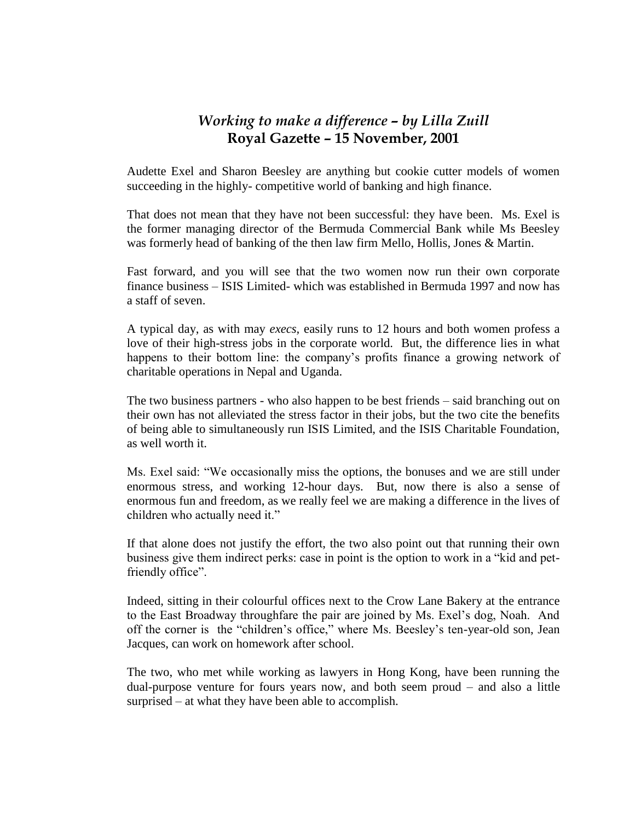## *Working to make a difference – by Lilla Zuill* **Royal Gazette – 15 November, 2001**

Audette Exel and Sharon Beesley are anything but cookie cutter models of women succeeding in the highly- competitive world of banking and high finance.

That does not mean that they have not been successful: they have been. Ms. Exel is the former managing director of the Bermuda Commercial Bank while Ms Beesley was formerly head of banking of the then law firm Mello, Hollis, Jones & Martin.

Fast forward, and you will see that the two women now run their own corporate finance business – ISIS Limited- which was established in Bermuda 1997 and now has a staff of seven.

A typical day, as with may *execs,* easily runs to 12 hours and both women profess a love of their high-stress jobs in the corporate world. But, the difference lies in what happens to their bottom line: the company's profits finance a growing network of charitable operations in Nepal and Uganda.

The two business partners - who also happen to be best friends – said branching out on their own has not alleviated the stress factor in their jobs, but the two cite the benefits of being able to simultaneously run ISIS Limited, and the ISIS Charitable Foundation, as well worth it.

Ms. Exel said: "We occasionally miss the options, the bonuses and we are still under enormous stress, and working 12-hour days. But, now there is also a sense of enormous fun and freedom, as we really feel we are making a difference in the lives of children who actually need it."

If that alone does not justify the effort, the two also point out that running their own business give them indirect perks: case in point is the option to work in a "kid and petfriendly office".

Indeed, sitting in their colourful offices next to the Crow Lane Bakery at the entrance to the East Broadway throughfare the pair are joined by Ms. Exel's dog, Noah. And off the corner is the "children's office," where Ms. Beesley's ten-year-old son, Jean Jacques, can work on homework after school.

The two, who met while working as lawyers in Hong Kong, have been running the dual-purpose venture for fours years now, and both seem proud – and also a little surprised – at what they have been able to accomplish.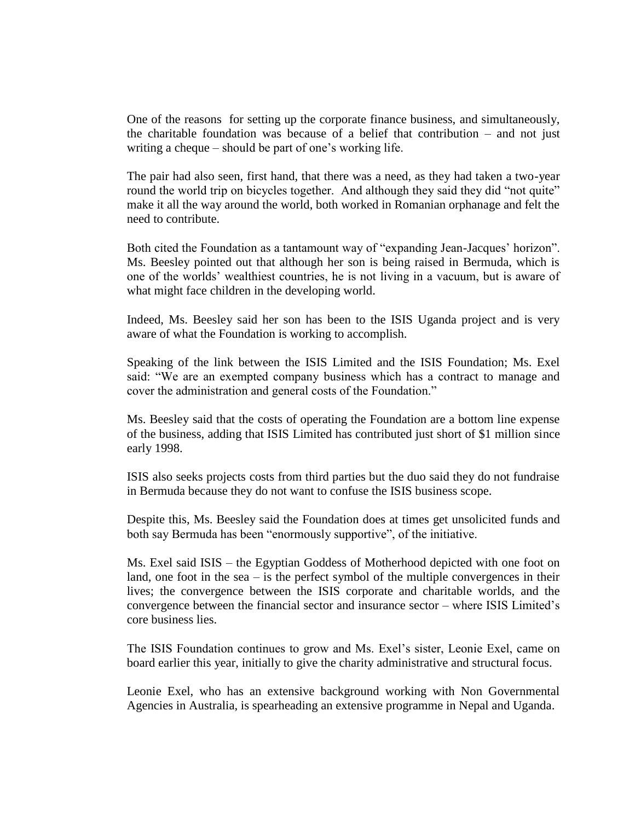One of the reasons for setting up the corporate finance business, and simultaneously, the charitable foundation was because of a belief that contribution – and not just writing a cheque – should be part of one's working life.

The pair had also seen, first hand, that there was a need, as they had taken a two-year round the world trip on bicycles together. And although they said they did "not quite" make it all the way around the world, both worked in Romanian orphanage and felt the need to contribute.

Both cited the Foundation as a tantamount way of "expanding Jean-Jacques' horizon". Ms. Beesley pointed out that although her son is being raised in Bermuda, which is one of the worlds' wealthiest countries, he is not living in a vacuum, but is aware of what might face children in the developing world.

Indeed, Ms. Beesley said her son has been to the ISIS Uganda project and is very aware of what the Foundation is working to accomplish.

Speaking of the link between the ISIS Limited and the ISIS Foundation; Ms. Exel said: "We are an exempted company business which has a contract to manage and cover the administration and general costs of the Foundation."

Ms. Beesley said that the costs of operating the Foundation are a bottom line expense of the business, adding that ISIS Limited has contributed just short of \$1 million since early 1998.

ISIS also seeks projects costs from third parties but the duo said they do not fundraise in Bermuda because they do not want to confuse the ISIS business scope.

Despite this, Ms. Beesley said the Foundation does at times get unsolicited funds and both say Bermuda has been "enormously supportive", of the initiative.

Ms. Exel said ISIS – the Egyptian Goddess of Motherhood depicted with one foot on land, one foot in the sea  $-$  is the perfect symbol of the multiple convergences in their lives; the convergence between the ISIS corporate and charitable worlds, and the convergence between the financial sector and insurance sector – where ISIS Limited's core business lies.

The ISIS Foundation continues to grow and Ms. Exel's sister, Leonie Exel, came on board earlier this year, initially to give the charity administrative and structural focus.

Leonie Exel, who has an extensive background working with Non Governmental Agencies in Australia, is spearheading an extensive programme in Nepal and Uganda.